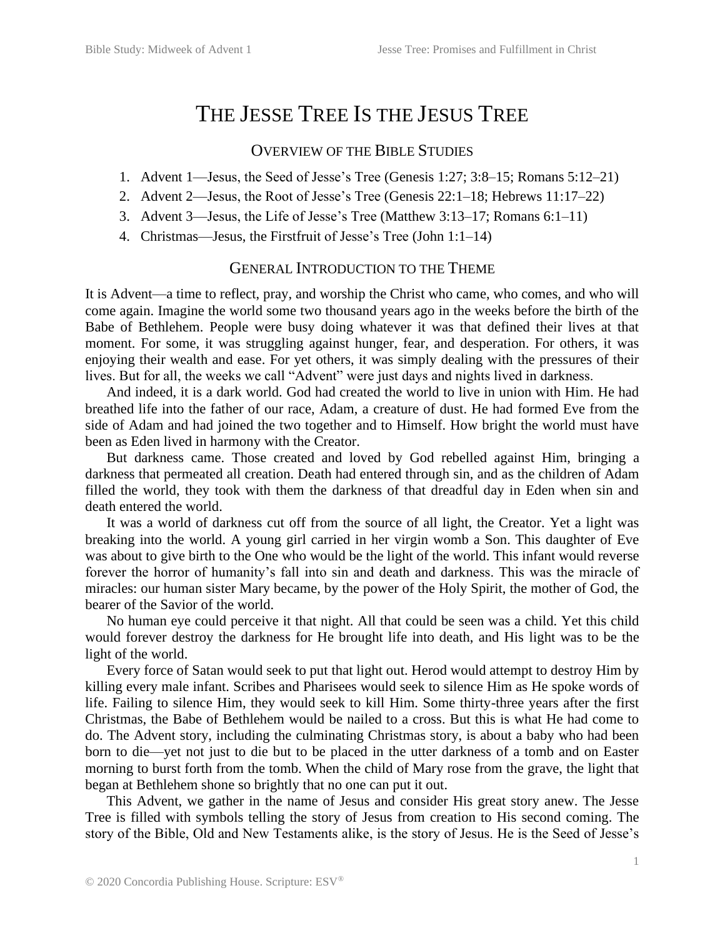# THE JESSE TREE IS THE JESUS TREE

## OVERVIEW OF THE BIBLE STUDIES

- 1. Advent 1—Jesus, the Seed of Jesse's Tree (Genesis 1:27; 3:8–15; Romans 5:12–21)
- 2. Advent 2—Jesus, the Root of Jesse's Tree (Genesis 22:1–18; Hebrews 11:17–22)
- 3. Advent 3—Jesus, the Life of Jesse's Tree (Matthew 3:13–17; Romans 6:1–11)
- 4. Christmas—Jesus, the Firstfruit of Jesse's Tree (John 1:1–14)

### GENERAL INTRODUCTION TO THE THEME

It is Advent—a time to reflect, pray, and worship the Christ who came, who comes, and who will come again. Imagine the world some two thousand years ago in the weeks before the birth of the Babe of Bethlehem. People were busy doing whatever it was that defined their lives at that moment. For some, it was struggling against hunger, fear, and desperation. For others, it was enjoying their wealth and ease. For yet others, it was simply dealing with the pressures of their lives. But for all, the weeks we call "Advent" were just days and nights lived in darkness.

And indeed, it is a dark world. God had created the world to live in union with Him. He had breathed life into the father of our race, Adam, a creature of dust. He had formed Eve from the side of Adam and had joined the two together and to Himself. How bright the world must have been as Eden lived in harmony with the Creator.

But darkness came. Those created and loved by God rebelled against Him, bringing a darkness that permeated all creation. Death had entered through sin, and as the children of Adam filled the world, they took with them the darkness of that dreadful day in Eden when sin and death entered the world.

It was a world of darkness cut off from the source of all light, the Creator. Yet a light was breaking into the world. A young girl carried in her virgin womb a Son. This daughter of Eve was about to give birth to the One who would be the light of the world. This infant would reverse forever the horror of humanity's fall into sin and death and darkness. This was the miracle of miracles: our human sister Mary became, by the power of the Holy Spirit, the mother of God, the bearer of the Savior of the world.

No human eye could perceive it that night. All that could be seen was a child. Yet this child would forever destroy the darkness for He brought life into death, and His light was to be the light of the world.

Every force of Satan would seek to put that light out. Herod would attempt to destroy Him by killing every male infant. Scribes and Pharisees would seek to silence Him as He spoke words of life. Failing to silence Him, they would seek to kill Him. Some thirty-three years after the first Christmas, the Babe of Bethlehem would be nailed to a cross. But this is what He had come to do. The Advent story, including the culminating Christmas story, is about a baby who had been born to die—yet not just to die but to be placed in the utter darkness of a tomb and on Easter morning to burst forth from the tomb. When the child of Mary rose from the grave, the light that began at Bethlehem shone so brightly that no one can put it out.

This Advent, we gather in the name of Jesus and consider His great story anew. The Jesse Tree is filled with symbols telling the story of Jesus from creation to His second coming. The story of the Bible, Old and New Testaments alike, is the story of Jesus. He is the Seed of Jesse's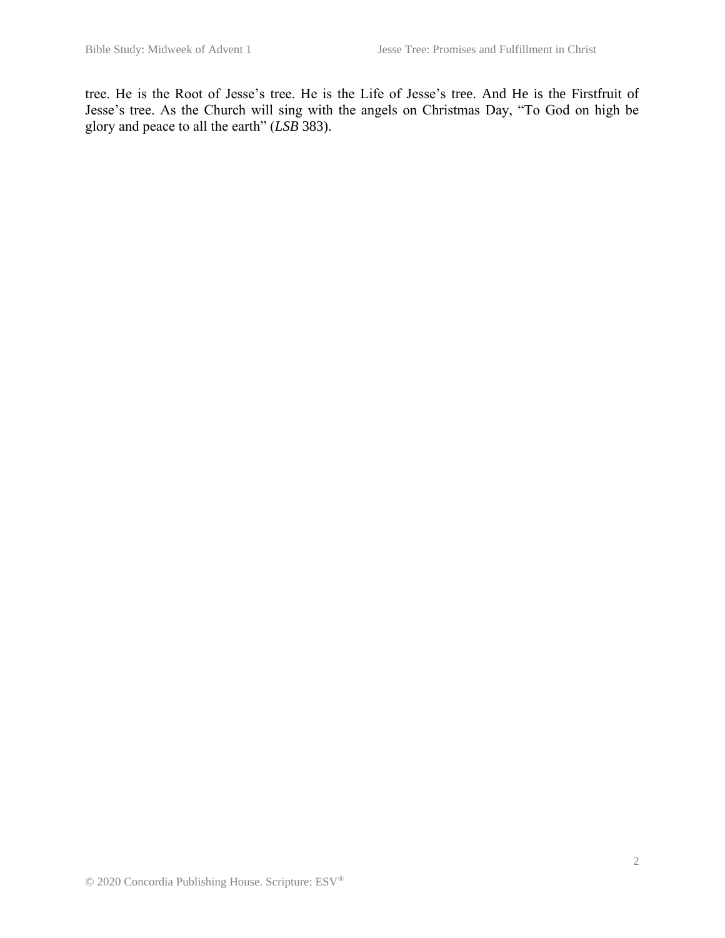tree. He is the Root of Jesse's tree. He is the Life of Jesse's tree. And He is the Firstfruit of Jesse's tree. As the Church will sing with the angels on Christmas Day, "To God on high be glory and peace to all the earth" (*LSB* 383).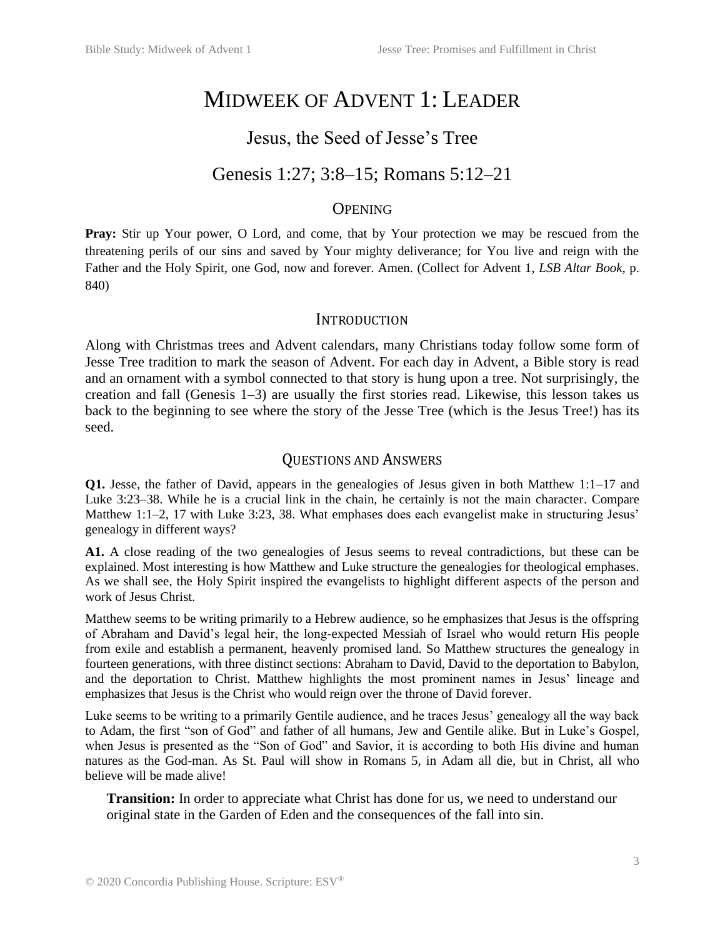# MIDWEEK OF ADVENT 1: LEADER

# Jesus, the Seed of Jesse's Tree

# Genesis 1:27; 3:8–15; Romans 5:12–21

# **OPENING**

**Pray:** Stir up Your power, O Lord, and come, that by Your protection we may be rescued from the threatening perils of our sins and saved by Your mighty deliverance; for You live and reign with the Father and the Holy Spirit, one God, now and forever. Amen. (Collect for Advent 1*, LSB Altar Book,* p. 840)

### INTRODUCTION

Along with Christmas trees and Advent calendars, many Christians today follow some form of Jesse Tree tradition to mark the season of Advent. For each day in Advent, a Bible story is read and an ornament with a symbol connected to that story is hung upon a tree. Not surprisingly, the creation and fall (Genesis 1–3) are usually the first stories read. Likewise, this lesson takes us back to the beginning to see where the story of the Jesse Tree (which is the Jesus Tree!) has its seed.

# QUESTIONS AND ANSWERS

**Q1.** Jesse, the father of David, appears in the genealogies of Jesus given in both Matthew 1:1–17 and Luke 3:23–38. While he is a crucial link in the chain, he certainly is not the main character. Compare Matthew 1:1–2, 17 with Luke 3:23, 38. What emphases does each evangelist make in structuring Jesus' genealogy in different ways?

**A1.** A close reading of the two genealogies of Jesus seems to reveal contradictions, but these can be explained. Most interesting is how Matthew and Luke structure the genealogies for theological emphases. As we shall see, the Holy Spirit inspired the evangelists to highlight different aspects of the person and work of Jesus Christ.

Matthew seems to be writing primarily to a Hebrew audience, so he emphasizes that Jesus is the offspring of Abraham and David's legal heir, the long-expected Messiah of Israel who would return His people from exile and establish a permanent, heavenly promised land. So Matthew structures the genealogy in fourteen generations, with three distinct sections: Abraham to David, David to the deportation to Babylon, and the deportation to Christ. Matthew highlights the most prominent names in Jesus' lineage and emphasizes that Jesus is the Christ who would reign over the throne of David forever.

Luke seems to be writing to a primarily Gentile audience, and he traces Jesus' genealogy all the way back to Adam, the first "son of God" and father of all humans, Jew and Gentile alike. But in Luke's Gospel, when Jesus is presented as the "Son of God" and Savior, it is according to both His divine and human natures as the God-man. As St. Paul will show in Romans 5, in Adam all die, but in Christ, all who believe will be made alive!

**Transition:** In order to appreciate what Christ has done for us, we need to understand our original state in the Garden of Eden and the consequences of the fall into sin.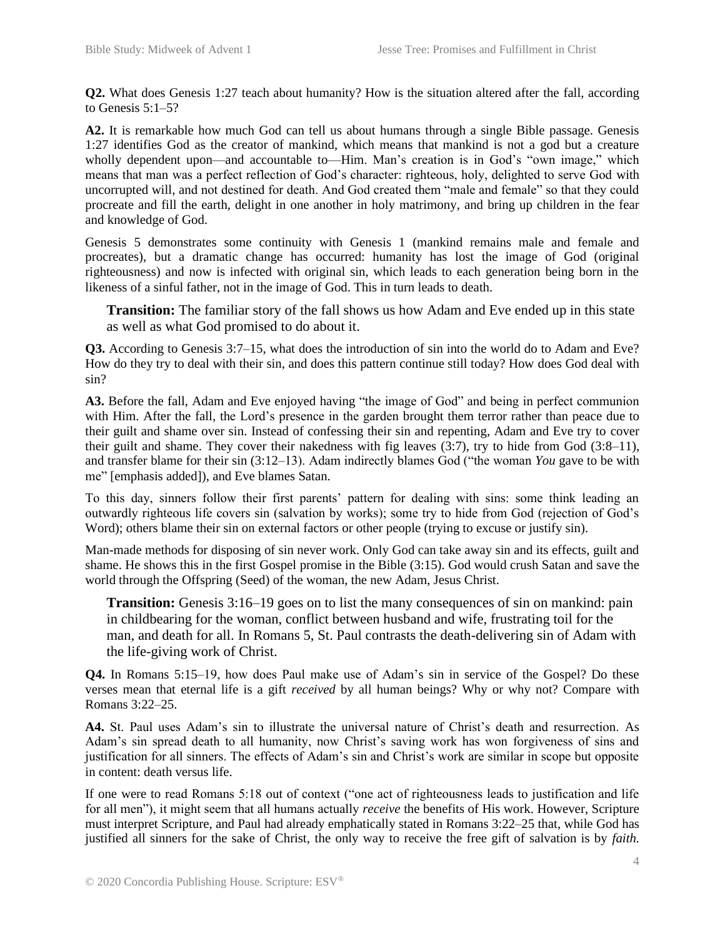**Q2.** What does Genesis 1:27 teach about humanity? How is the situation altered after the fall, according to Genesis 5:1–5?

A2. It is remarkable how much God can tell us about humans through a single Bible passage. Genesis 1:27 identifies God as the creator of mankind, which means that mankind is not a god but a creature wholly dependent upon—and accountable to—Him. Man's creation is in God's "own image," which means that man was a perfect reflection of God's character: righteous, holy, delighted to serve God with uncorrupted will, and not destined for death. And God created them "male and female" so that they could procreate and fill the earth, delight in one another in holy matrimony, and bring up children in the fear and knowledge of God.

Genesis 5 demonstrates some continuity with Genesis 1 (mankind remains male and female and procreates), but a dramatic change has occurred: humanity has lost the image of God (original righteousness) and now is infected with original sin, which leads to each generation being born in the likeness of a sinful father, not in the image of God. This in turn leads to death.

**Transition:** The familiar story of the fall shows us how Adam and Eve ended up in this state as well as what God promised to do about it.

**Q3.** According to Genesis 3:7–15, what does the introduction of sin into the world do to Adam and Eve? How do they try to deal with their sin, and does this pattern continue still today? How does God deal with sin?

**A3.** Before the fall, Adam and Eve enjoyed having "the image of God" and being in perfect communion with Him. After the fall, the Lord's presence in the garden brought them terror rather than peace due to their guilt and shame over sin. Instead of confessing their sin and repenting, Adam and Eve try to cover their guilt and shame. They cover their nakedness with fig leaves  $(3:7)$ , try to hide from God  $(3:8-11)$ , and transfer blame for their sin (3:12–13). Adam indirectly blames God ("the woman *You* gave to be with me" [emphasis added]), and Eve blames Satan.

To this day, sinners follow their first parents' pattern for dealing with sins: some think leading an outwardly righteous life covers sin (salvation by works); some try to hide from God (rejection of God's Word); others blame their sin on external factors or other people (trying to excuse or justify sin).

Man-made methods for disposing of sin never work. Only God can take away sin and its effects, guilt and shame. He shows this in the first Gospel promise in the Bible (3:15). God would crush Satan and save the world through the Offspring (Seed) of the woman, the new Adam, Jesus Christ.

**Transition:** Genesis 3:16–19 goes on to list the many consequences of sin on mankind: pain in childbearing for the woman, conflict between husband and wife, frustrating toil for the man, and death for all. In Romans 5, St. Paul contrasts the death-delivering sin of Adam with the life-giving work of Christ.

**Q4.** In Romans 5:15–19, how does Paul make use of Adam's sin in service of the Gospel? Do these verses mean that eternal life is a gift *received* by all human beings? Why or why not? Compare with Romans 3:22–25.

**A4.** St. Paul uses Adam's sin to illustrate the universal nature of Christ's death and resurrection. As Adam's sin spread death to all humanity, now Christ's saving work has won forgiveness of sins and justification for all sinners. The effects of Adam's sin and Christ's work are similar in scope but opposite in content: death versus life.

If one were to read Romans 5:18 out of context ("one act of righteousness leads to justification and life for all men"), it might seem that all humans actually *receive* the benefits of His work. However, Scripture must interpret Scripture, and Paul had already emphatically stated in Romans 3:22–25 that, while God has justified all sinners for the sake of Christ, the only way to receive the free gift of salvation is by *faith.*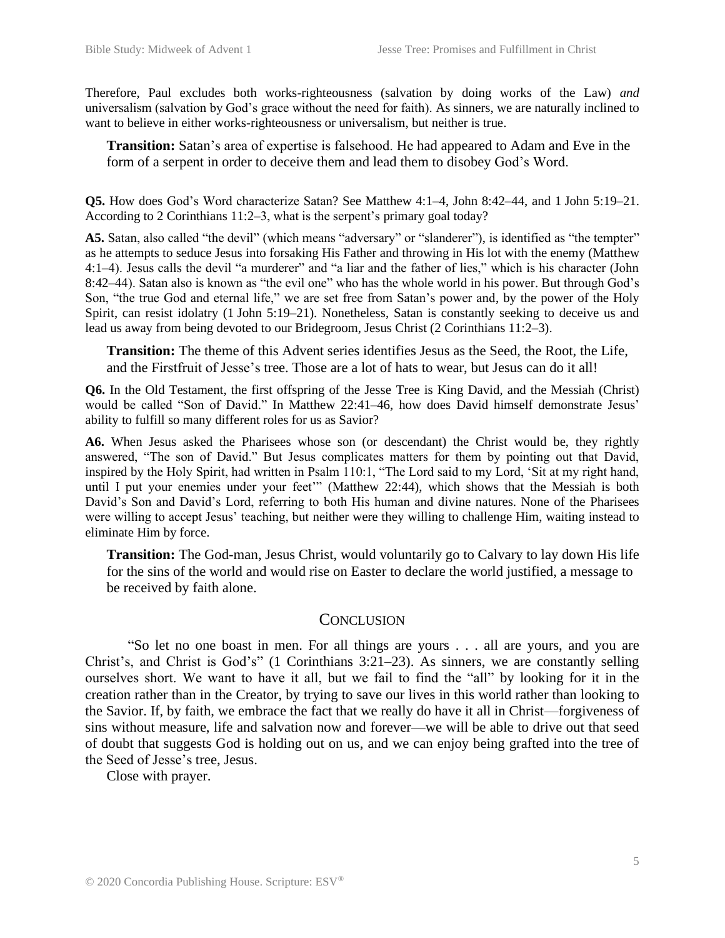Therefore, Paul excludes both works-righteousness (salvation by doing works of the Law) *and* universalism (salvation by God's grace without the need for faith). As sinners, we are naturally inclined to want to believe in either works-righteousness or universalism, but neither is true.

**Transition:** Satan's area of expertise is falsehood. He had appeared to Adam and Eve in the form of a serpent in order to deceive them and lead them to disobey God's Word.

**Q5.** How does God's Word characterize Satan? See Matthew 4:1–4, John 8:42–44, and 1 John 5:19–21. According to 2 Corinthians 11:2–3, what is the serpent's primary goal today?

**A5.** Satan, also called "the devil" (which means "adversary" or "slanderer"), is identified as "the tempter" as he attempts to seduce Jesus into forsaking His Father and throwing in His lot with the enemy (Matthew 4:1–4). Jesus calls the devil "a murderer" and "a liar and the father of lies," which is his character (John 8:42–44). Satan also is known as "the evil one" who has the whole world in his power. But through God's Son, "the true God and eternal life," we are set free from Satan's power and, by the power of the Holy Spirit, can resist idolatry (1 John 5:19–21). Nonetheless, Satan is constantly seeking to deceive us and lead us away from being devoted to our Bridegroom, Jesus Christ (2 Corinthians 11:2–3).

**Transition:** The theme of this Advent series identifies Jesus as the Seed, the Root, the Life, and the Firstfruit of Jesse's tree. Those are a lot of hats to wear, but Jesus can do it all!

**Q6.** In the Old Testament, the first offspring of the Jesse Tree is King David, and the Messiah (Christ) would be called "Son of David." In Matthew 22:41–46, how does David himself demonstrate Jesus' ability to fulfill so many different roles for us as Savior?

**A6.** When Jesus asked the Pharisees whose son (or descendant) the Christ would be, they rightly answered, "The son of David." But Jesus complicates matters for them by pointing out that David, inspired by the Holy Spirit, had written in Psalm 110:1, "The Lord said to my Lord, 'Sit at my right hand, until I put your enemies under your feet'" (Matthew 22:44), which shows that the Messiah is both David's Son and David's Lord, referring to both His human and divine natures. None of the Pharisees were willing to accept Jesus' teaching, but neither were they willing to challenge Him, waiting instead to eliminate Him by force.

**Transition:** The God-man, Jesus Christ, would voluntarily go to Calvary to lay down His life for the sins of the world and would rise on Easter to declare the world justified, a message to be received by faith alone.

### **CONCLUSION**

"So let no one boast in men. For all things are yours . . . all are yours, and you are Christ's, and Christ is God's" (1 Corinthians 3:21–23). As sinners, we are constantly selling ourselves short. We want to have it all, but we fail to find the "all" by looking for it in the creation rather than in the Creator, by trying to save our lives in this world rather than looking to the Savior. If, by faith, we embrace the fact that we really do have it all in Christ—forgiveness of sins without measure, life and salvation now and forever—we will be able to drive out that seed of doubt that suggests God is holding out on us, and we can enjoy being grafted into the tree of the Seed of Jesse's tree, Jesus.

Close with prayer.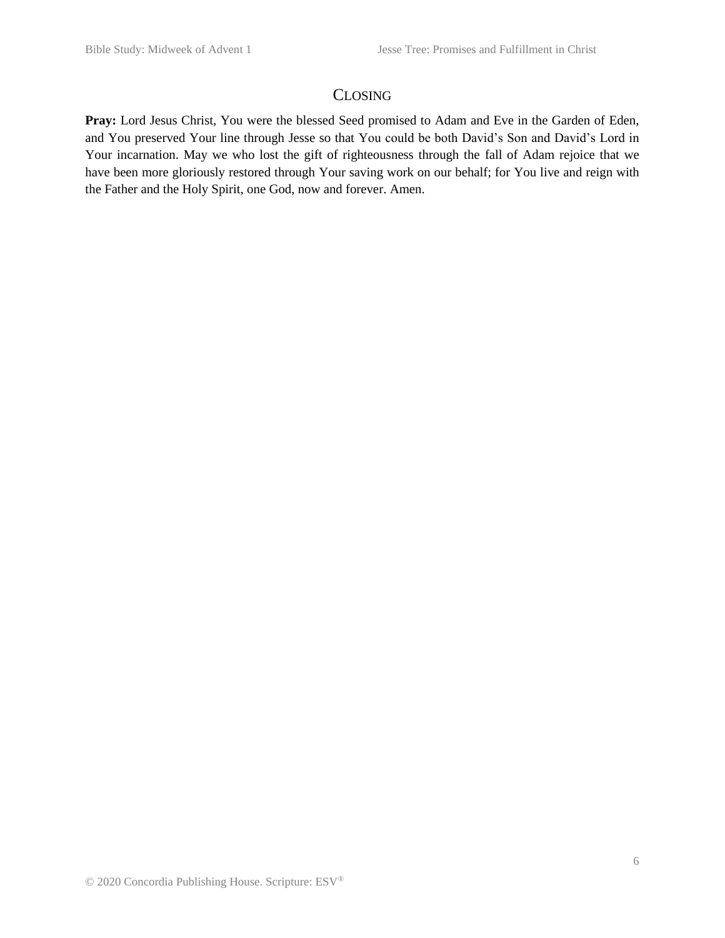# CLOSING

**Pray:** Lord Jesus Christ, You were the blessed Seed promised to Adam and Eve in the Garden of Eden, and You preserved Your line through Jesse so that You could be both David's Son and David's Lord in Your incarnation. May we who lost the gift of righteousness through the fall of Adam rejoice that we have been more gloriously restored through Your saving work on our behalf; for You live and reign with the Father and the Holy Spirit, one God, now and forever. Amen.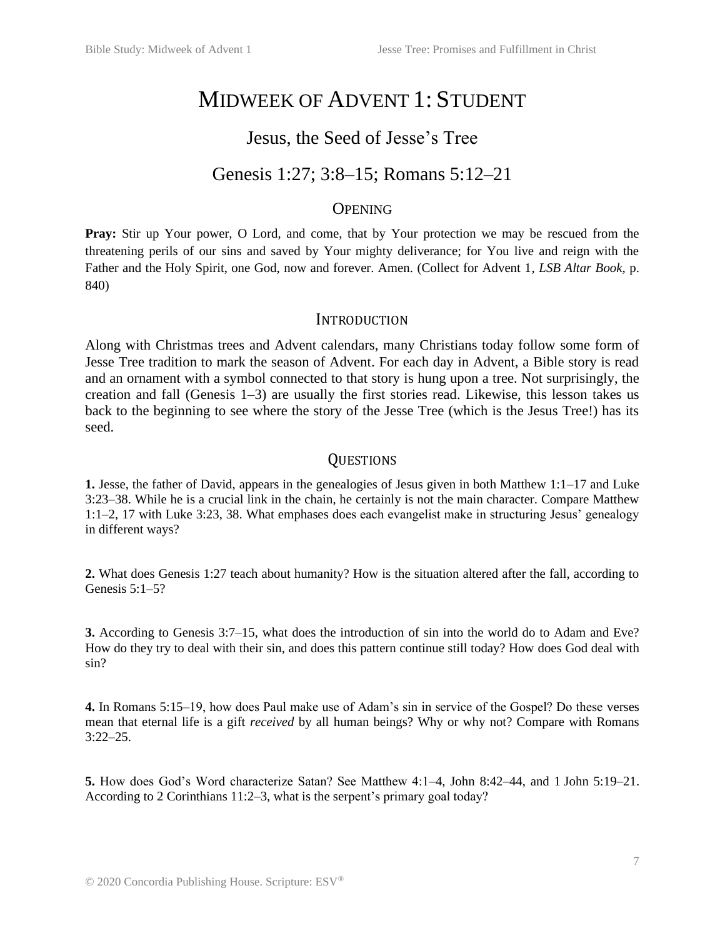# MIDWEEK OF ADVENT 1: STUDENT

# Jesus, the Seed of Jesse's Tree

# Genesis 1:27; 3:8–15; Romans 5:12–21

# **OPENING**

**Pray:** Stir up Your power, O Lord, and come, that by Your protection we may be rescued from the threatening perils of our sins and saved by Your mighty deliverance; for You live and reign with the Father and the Holy Spirit, one God, now and forever. Amen. (Collect for Advent 1*, LSB Altar Book,* p. 840)

### **INTRODUCTION**

Along with Christmas trees and Advent calendars, many Christians today follow some form of Jesse Tree tradition to mark the season of Advent. For each day in Advent, a Bible story is read and an ornament with a symbol connected to that story is hung upon a tree. Not surprisingly, the creation and fall (Genesis 1–3) are usually the first stories read. Likewise, this lesson takes us back to the beginning to see where the story of the Jesse Tree (which is the Jesus Tree!) has its seed.

# **OUESTIONS**

**1.** Jesse, the father of David, appears in the genealogies of Jesus given in both Matthew 1:1–17 and Luke 3:23–38. While he is a crucial link in the chain, he certainly is not the main character. Compare Matthew 1:1–2, 17 with Luke 3:23, 38. What emphases does each evangelist make in structuring Jesus' genealogy in different ways?

**2.** What does Genesis 1:27 teach about humanity? How is the situation altered after the fall, according to Genesis 5:1–5?

**3.** According to Genesis 3:7–15, what does the introduction of sin into the world do to Adam and Eve? How do they try to deal with their sin, and does this pattern continue still today? How does God deal with sin?

**4.** In Romans 5:15–19, how does Paul make use of Adam's sin in service of the Gospel? Do these verses mean that eternal life is a gift *received* by all human beings? Why or why not? Compare with Romans 3:22–25.

**5.** How does God's Word characterize Satan? See Matthew 4:1–4, John 8:42–44, and 1 John 5:19–21. According to 2 Corinthians 11:2–3, what is the serpent's primary goal today?